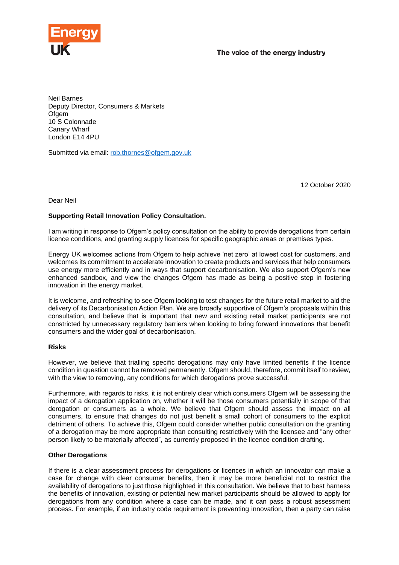

Neil Barnes Deputy Director, Consumers & Markets **Ofgem** 10 S Colonnade Canary Wharf London E14 4PU

Submitted via email: [rob.thornes@ofgem.gov.uk](mailto:rob.thornes@ofgem.gov.uk)

12 October 2020

## Dear Neil

## **Supporting Retail Innovation Policy Consultation.**

I am writing in response to Ofgem's policy consultation on the ability to provide derogations from certain licence conditions, and granting supply licences for specific geographic areas or premises types.

Energy UK welcomes actions from Ofgem to help achieve 'net zero' at lowest cost for customers, and welcomes its commitment to accelerate innovation to create products and services that help consumers use energy more efficiently and in ways that support decarbonisation. We also support Ofgem's new enhanced sandbox, and view the changes Ofgem has made as being a positive step in fostering innovation in the energy market.

It is welcome, and refreshing to see Ofgem looking to test changes for the future retail market to aid the delivery of its Decarbonisation Action Plan. We are broadly supportive of Ofgem's proposals within this consultation, and believe that is important that new and existing retail market participants are not constricted by unnecessary regulatory barriers when looking to bring forward innovations that benefit consumers and the wider goal of decarbonisation.

## **Risks**

However, we believe that trialling specific derogations may only have limited benefits if the licence condition in question cannot be removed permanently. Ofgem should, therefore, commit itself to review, with the view to removing, any conditions for which derogations prove successful.

Furthermore, with regards to risks, it is not entirely clear which consumers Ofgem will be assessing the impact of a derogation application on, whether it will be those consumers potentially in scope of that derogation or consumers as a whole. We believe that Ofgem should assess the impact on all consumers, to ensure that changes do not just benefit a small cohort of consumers to the explicit detriment of others. To achieve this, Ofgem could consider whether public consultation on the granting of a derogation may be more appropriate than consulting restrictively with the licensee and "any other person likely to be materially affected", as currently proposed in the licence condition drafting.

## **Other Derogations**

If there is a clear assessment process for derogations or licences in which an innovator can make a case for change with clear consumer benefits, then it may be more beneficial not to restrict the availability of derogations to just those highlighted in this consultation. We believe that to best harness the benefits of innovation, existing or potential new market participants should be allowed to apply for derogations from any condition where a case can be made, and it can pass a robust assessment process. For example, if an industry code requirement is preventing innovation, then a party can raise